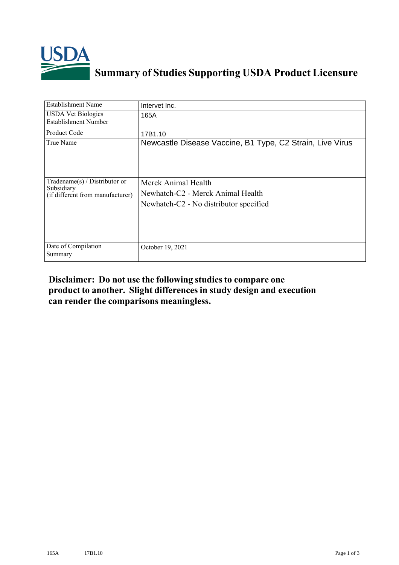

## **Summary of Studies Supporting USDA Product Licensure**

| <b>Establishment Name</b>                                                       | Intervet Inc.                                                                                      |
|---------------------------------------------------------------------------------|----------------------------------------------------------------------------------------------------|
| <b>USDA Vet Biologics</b><br><b>Establishment Number</b>                        | 165A                                                                                               |
| Product Code                                                                    | 17B1.10                                                                                            |
| True Name                                                                       | Newcastle Disease Vaccine, B1 Type, C2 Strain, Live Virus                                          |
| Tradename(s) / Distributor or<br>Subsidiary<br>(if different from manufacturer) | Merck Animal Health<br>Newhatch-C2 - Merck Animal Health<br>Newhatch-C2 - No distributor specified |
| Date of Compilation<br>Summary                                                  | October 19, 2021                                                                                   |

## **Disclaimer: Do not use the following studiesto compare one product to another. Slight differencesin study design and execution can render the comparisons meaningless.**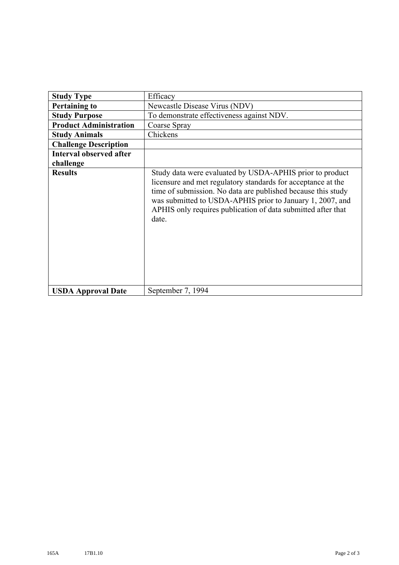| <b>Study Type</b>              | Efficacy                                                                                                                                                                                                                                                                                                                       |
|--------------------------------|--------------------------------------------------------------------------------------------------------------------------------------------------------------------------------------------------------------------------------------------------------------------------------------------------------------------------------|
| <b>Pertaining to</b>           | Newcastle Disease Virus (NDV)                                                                                                                                                                                                                                                                                                  |
| <b>Study Purpose</b>           | To demonstrate effectiveness against NDV.                                                                                                                                                                                                                                                                                      |
| <b>Product Administration</b>  | Coarse Spray                                                                                                                                                                                                                                                                                                                   |
| <b>Study Animals</b>           | Chickens                                                                                                                                                                                                                                                                                                                       |
| <b>Challenge Description</b>   |                                                                                                                                                                                                                                                                                                                                |
| <b>Interval observed after</b> |                                                                                                                                                                                                                                                                                                                                |
| challenge                      |                                                                                                                                                                                                                                                                                                                                |
| <b>Results</b>                 | Study data were evaluated by USDA-APHIS prior to product<br>licensure and met regulatory standards for acceptance at the<br>time of submission. No data are published because this study<br>was submitted to USDA-APHIS prior to January 1, 2007, and<br>APHIS only requires publication of data submitted after that<br>date. |
| <b>USDA Approval Date</b>      | September 7, 1994                                                                                                                                                                                                                                                                                                              |